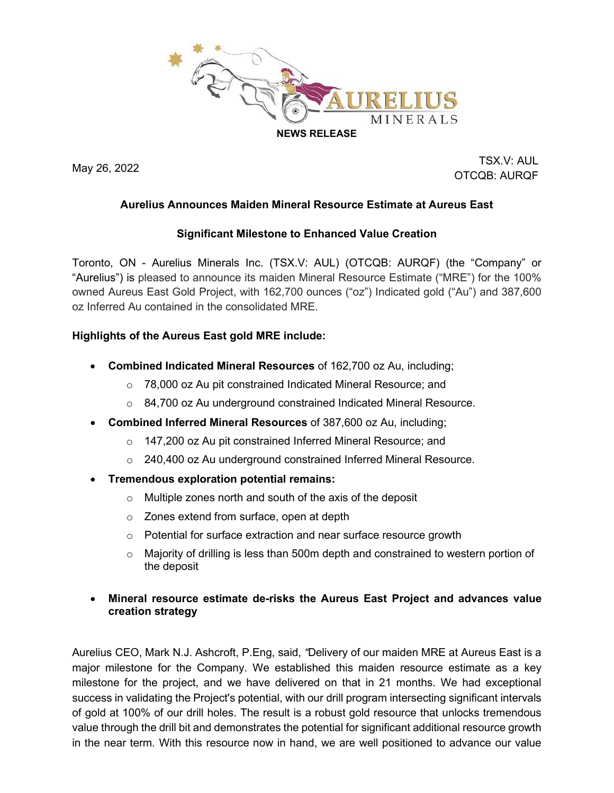

May 26, 2022 TSX.V: AUL OTCQB: AURQF

# **Aurelius Announces Maiden Mineral Resource Estimate at Aureus East**

#### **Significant Milestone to Enhanced Value Creation**

Toronto, ON - Aurelius Minerals Inc. (TSX.V: AUL) (OTCQB: AURQF) (the "Company" or "Aurelius") is pleased to announce its maiden Mineral Resource Estimate ("MRE") for the 100% owned Aureus East Gold Project, with 162,700 ounces ("oz") Indicated gold ("Au") and 387,600 oz Inferred Au contained in the consolidated MRE.

### **Highlights of the Aureus East gold MRE include:**

- **Combined Indicated Mineral Resources** of 162,700 oz Au, including;
	- o 78,000 oz Au pit constrained Indicated Mineral Resource; and
	- o 84,700 oz Au underground constrained Indicated Mineral Resource.
- **Combined Inferred Mineral Resources** of 387,600 oz Au, including;
	- o 147,200 oz Au pit constrained Inferred Mineral Resource; and
	- $\circ$  240,400 oz Au underground constrained Inferred Mineral Resource.
- **Tremendous exploration potential remains:**
	- o Multiple zones north and south of the axis of the deposit
	- o Zones extend from surface, open at depth
	- o Potential for surface extraction and near surface resource growth
	- $\circ$  Majority of drilling is less than 500m depth and constrained to western portion of the deposit

### • **Mineral resource estimate de-risks the Aureus East Project and advances value creation strategy**

Aurelius CEO, Mark N.J. Ashcroft, P.Eng, said, *"*Delivery of our maiden MRE at Aureus East is a major milestone for the Company. We established this maiden resource estimate as a key milestone for the project, and we have delivered on that in 21 months. We had exceptional success in validating the Project's potential, with our drill program intersecting significant intervals of gold at 100% of our drill holes. The result is a robust gold resource that unlocks tremendous value through the drill bit and demonstrates the potential for significant additional resource growth in the near term. With this resource now in hand, we are well positioned to advance our value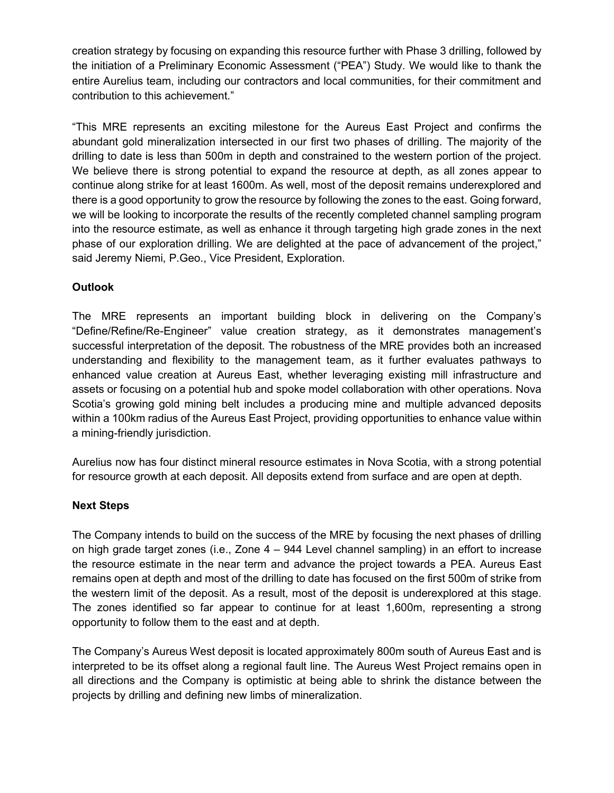creation strategy by focusing on expanding this resource further with Phase 3 drilling, followed by the initiation of a Preliminary Economic Assessment ("PEA") Study. We would like to thank the entire Aurelius team, including our contractors and local communities, for their commitment and contribution to this achievement."

"This MRE represents an exciting milestone for the Aureus East Project and confirms the abundant gold mineralization intersected in our first two phases of drilling. The majority of the drilling to date is less than 500m in depth and constrained to the western portion of the project. We believe there is strong potential to expand the resource at depth, as all zones appear to continue along strike for at least 1600m. As well, most of the deposit remains underexplored and there is a good opportunity to grow the resource by following the zones to the east. Going forward, we will be looking to incorporate the results of the recently completed channel sampling program into the resource estimate, as well as enhance it through targeting high grade zones in the next phase of our exploration drilling. We are delighted at the pace of advancement of the project," said Jeremy Niemi, P.Geo., Vice President, Exploration.

# **Outlook**

The MRE represents an important building block in delivering on the Company's "Define/Refine/Re-Engineer" value creation strategy, as it demonstrates management's successful interpretation of the deposit. The robustness of the MRE provides both an increased understanding and flexibility to the management team, as it further evaluates pathways to enhanced value creation at Aureus East, whether leveraging existing mill infrastructure and assets or focusing on a potential hub and spoke model collaboration with other operations. Nova Scotia's growing gold mining belt includes a producing mine and multiple advanced deposits within a 100km radius of the Aureus East Project, providing opportunities to enhance value within a mining-friendly jurisdiction.

Aurelius now has four distinct mineral resource estimates in Nova Scotia, with a strong potential for resource growth at each deposit. All deposits extend from surface and are open at depth.

#### **Next Steps**

The Company intends to build on the success of the MRE by focusing the next phases of drilling on high grade target zones (i.e., Zone 4 – 944 Level channel sampling) in an effort to increase the resource estimate in the near term and advance the project towards a PEA. Aureus East remains open at depth and most of the drilling to date has focused on the first 500m of strike from the western limit of the deposit. As a result, most of the deposit is underexplored at this stage. The zones identified so far appear to continue for at least 1,600m, representing a strong opportunity to follow them to the east and at depth.

The Company's Aureus West deposit is located approximately 800m south of Aureus East and is interpreted to be its offset along a regional fault line. The Aureus West Project remains open in all directions and the Company is optimistic at being able to shrink the distance between the projects by drilling and defining new limbs of mineralization.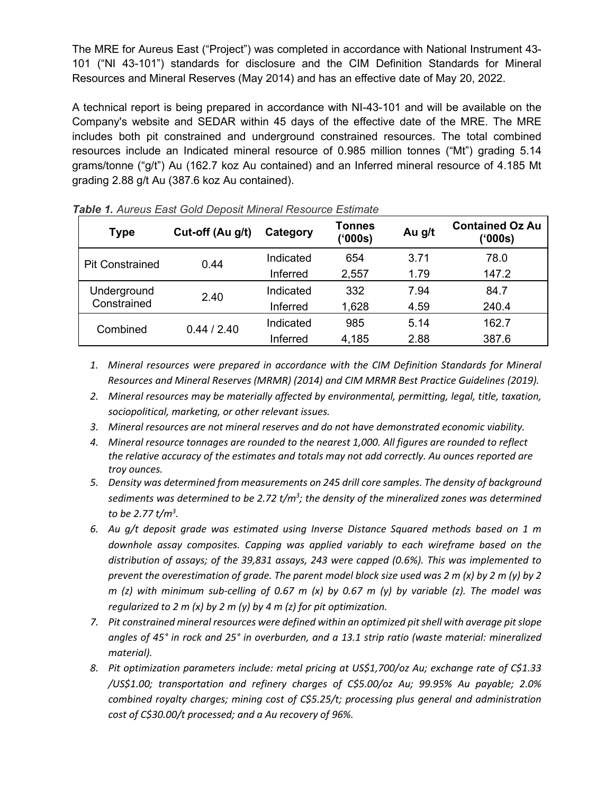The MRE for Aureus East ("Project") was completed in accordance with National Instrument 43- 101 ("NI 43-101") standards for disclosure and the CIM Definition Standards for Mineral Resources and Mineral Reserves (May 2014) and has an effective date of May 20, 2022.

A technical report is being prepared in accordance with NI-43-101 and will be available on the Company's website and SEDAR within 45 days of the effective date of the MRE. The MRE includes both pit constrained and underground constrained resources. The total combined resources include an Indicated mineral resource of 0.985 million tonnes ("Mt") grading 5.14 grams/tonne ("g/t") Au (162.7 koz Au contained) and an Inferred mineral resource of 4.185 Mt grading 2.88 g/t Au (387.6 koz Au contained).

| <b>Type</b>                | Cut-off (Au g/t) | Category  | Tonnes<br>(900s) | Au g/t | <b>Contained Oz Au</b><br>('000s) |
|----------------------------|------------------|-----------|------------------|--------|-----------------------------------|
| <b>Pit Constrained</b>     | 0.44             | Indicated | 654              | 3.71   | 78.0                              |
|                            |                  | Inferred  | 2,557            | 1.79   | 147.2                             |
| Underground<br>Constrained | 2.40             | Indicated | 332              | 7.94   | 84.7                              |
|                            |                  | Inferred  | 1,628            | 4.59   | 240.4                             |
| Combined                   | 0.44 / 2.40      | Indicated | 985              | 5.14   | 162.7                             |
|                            |                  | Inferred  | 4,185            | 2.88   | 387.6                             |

*Table 1. Aureus East Gold Deposit Mineral Resource Estimate*

- *1. Mineral resources were prepared in accordance with the CIM Definition Standards for Mineral Resources and Mineral Reserves (MRMR) (2014) and CIM MRMR Best Practice Guidelines (2019).*
- *2. Mineral resources may be materially affected by environmental, permitting, legal, title, taxation, sociopolitical, marketing, or other relevant issues.*
- *3. Mineral resources are not mineral reserves and do not have demonstrated economic viability.*
- *4. Mineral resource tonnages are rounded to the nearest 1,000. All figures are rounded to reflect the relative accuracy of the estimates and totals may not add correctly. Au ounces reported are troy ounces.*
- *5. Density was determined from measurements on 245 drill core samples. The density of background sediments was determined to be 2.72 t/m3 ; the density of the mineralized zones was determined to be 2.77 t/m3 .*
- *6. Au g/t deposit grade was estimated using Inverse Distance Squared methods based on 1 m downhole assay composites. Capping was applied variably to each wireframe based on the distribution of assays; of the 39,831 assays, 243 were capped (0.6%). This was implemented to prevent the overestimation of grade. The parent model block size used was 2 m (x) by 2 m (y) by 2 m (z) with minimum sub-celling of 0.67 m (x) by 0.67 m (y) by variable (z). The model was regularized to 2 m (x) by 2 m (y) by 4 m (z) for pit optimization.*
- *7. Pit constrained mineral resources were defined within an optimized pit shell with average pit slope angles of 45° in rock and 25° in overburden, and a 13.1 strip ratio (waste material: mineralized material).*
- *8. Pit optimization parameters include: metal pricing at US\$1,700/oz Au; exchange rate of C\$1.33 /US\$1.00; transportation and refinery charges of C\$5.00/oz Au; 99.95% Au payable; 2.0% combined royalty charges; mining cost of C\$5.25/t; processing plus general and administration cost of C\$30.00/t processed; and a Au recovery of 96%.*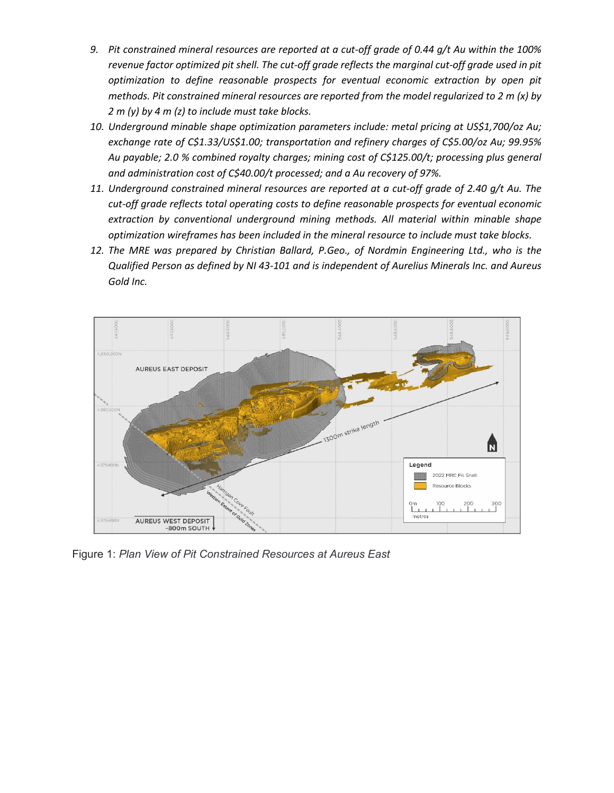- *9. Pit constrained mineral resources are reported at a cut-off grade of 0.44 g/t Au within the 100% revenue factor optimized pit shell. The cut-off grade reflects the marginal cut-off grade used in pit optimization to define reasonable prospects for eventual economic extraction by open pit methods. Pit constrained mineral resources are reported from the model regularized to 2 m (x) by 2 m (y) by 4 m (z) to include must take blocks.*
- *10. Underground minable shape optimization parameters include: metal pricing at US\$1,700/oz Au; exchange rate of C\$1.33/US\$1.00; transportation and refinery charges of C\$5.00/oz Au; 99.95% Au payable; 2.0 % combined royalty charges; mining cost of C\$125.00/t; processing plus general and administration cost of C\$40.00/t processed; and a Au recovery of 97%.*
- *11. Underground constrained mineral resources are reported at a cut-off grade of 2.40 g/t Au. The cut-off grade reflects total operating costs to define reasonable prospects for eventual economic extraction by conventional underground mining methods. All material within minable shape optimization wireframes has been included in the mineral resource to include must take blocks.*
- *12. The MRE was prepared by Christian Ballard, P.Geo., of Nordmin Engineering Ltd., who is the Qualified Person as defined by NI 43-101 and is independent of Aurelius Minerals Inc. and Aureus Gold Inc.*



Figure 1: *Plan View of Pit Constrained Resources at Aureus East*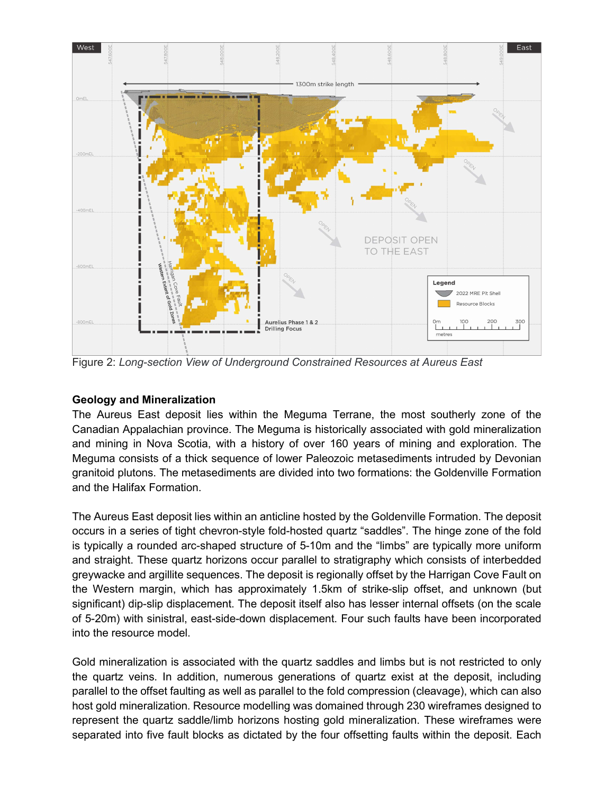

Figure 2: *Long-section View of Underground Constrained Resources at Aureus East*

#### **Geology and Mineralization**

The Aureus East deposit lies within the Meguma Terrane, the most southerly zone of the Canadian Appalachian province. The Meguma is historically associated with gold mineralization and mining in Nova Scotia, with a history of over 160 years of mining and exploration. The Meguma consists of a thick sequence of lower Paleozoic metasediments intruded by Devonian granitoid plutons. The metasediments are divided into two formations: the Goldenville Formation and the Halifax Formation.

The Aureus East deposit lies within an anticline hosted by the Goldenville Formation. The deposit occurs in a series of tight chevron-style fold-hosted quartz "saddles". The hinge zone of the fold is typically a rounded arc-shaped structure of 5-10m and the "limbs" are typically more uniform and straight. These quartz horizons occur parallel to stratigraphy which consists of interbedded greywacke and argillite sequences. The deposit is regionally offset by the Harrigan Cove Fault on the Western margin, which has approximately 1.5km of strike-slip offset, and unknown (but significant) dip-slip displacement. The deposit itself also has lesser internal offsets (on the scale of 5-20m) with sinistral, east-side-down displacement. Four such faults have been incorporated into the resource model.

Gold mineralization is associated with the quartz saddles and limbs but is not restricted to only the quartz veins. In addition, numerous generations of quartz exist at the deposit, including parallel to the offset faulting as well as parallel to the fold compression (cleavage), which can also host gold mineralization. Resource modelling was domained through 230 wireframes designed to represent the quartz saddle/limb horizons hosting gold mineralization. These wireframes were separated into five fault blocks as dictated by the four offsetting faults within the deposit. Each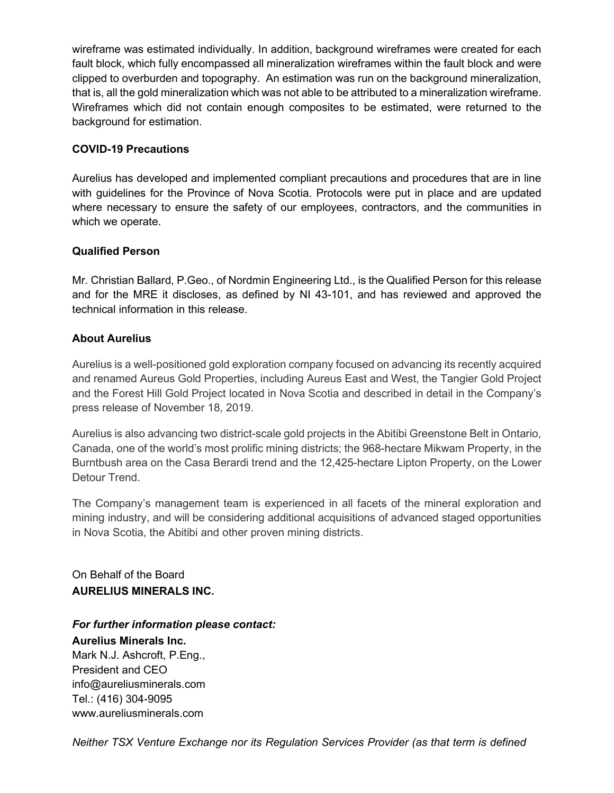wireframe was estimated individually. In addition, background wireframes were created for each fault block, which fully encompassed all mineralization wireframes within the fault block and were clipped to overburden and topography. An estimation was run on the background mineralization, that is, all the gold mineralization which was not able to be attributed to a mineralization wireframe. Wireframes which did not contain enough composites to be estimated, were returned to the background for estimation.

# **COVID-19 Precautions**

Aurelius has developed and implemented compliant precautions and procedures that are in line with guidelines for the Province of Nova Scotia. Protocols were put in place and are updated where necessary to ensure the safety of our employees, contractors, and the communities in which we operate.

### **Qualified Person**

Mr. Christian Ballard, P.Geo., of Nordmin Engineering Ltd., is the Qualified Person for this release and for the MRE it discloses, as defined by NI 43-101, and has reviewed and approved the technical information in this release.

### **About Aurelius**

Aurelius is a well-positioned gold exploration company focused on advancing its recently acquired and renamed Aureus Gold Properties, including Aureus East and West, the Tangier Gold Project and the Forest Hill Gold Project located in Nova Scotia and described in detail in the Company's press release of November 18, 2019.

Aurelius is also advancing two district-scale gold projects in the Abitibi Greenstone Belt in Ontario, Canada, one of the world's most prolific mining districts; the 968-hectare Mikwam Property, in the Burntbush area on the Casa Berardi trend and the 12,425-hectare Lipton Property, on the Lower Detour Trend.

The Company's management team is experienced in all facets of the mineral exploration and mining industry, and will be considering additional acquisitions of advanced staged opportunities in Nova Scotia, the Abitibi and other proven mining districts.

On Behalf of the Board **AURELIUS MINERALS INC.**

# *For further information please contact:*

**Aurelius Minerals Inc.** Mark N.J. Ashcroft, P.Eng., President and CEO info@aureliusminerals.com Tel.: (416) 304-9095 www.aureliusminerals.com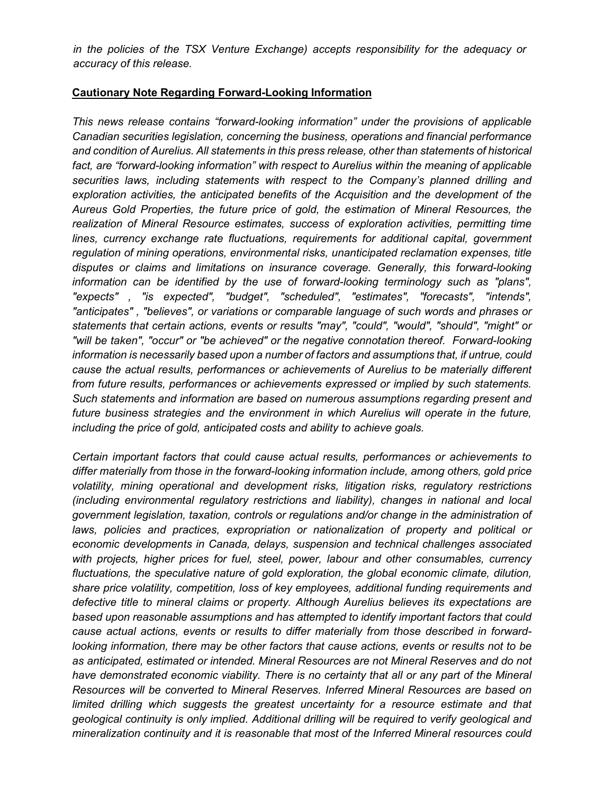*in the policies of the TSX Venture Exchange) accepts responsibility for the adequacy or accuracy of this release.*

#### **Cautionary Note Regarding Forward-Looking Information**

*This news release contains "forward-looking information" under the provisions of applicable Canadian securities legislation, concerning the business, operations and financial performance and condition of Aurelius. All statements in this press release, other than statements of historical*  fact, are "forward-looking information" with respect to Aurelius within the meaning of applicable *securities laws, including statements with respect to the Company's planned drilling and exploration activities, the anticipated benefits of the Acquisition and the development of the Aureus Gold Properties, the future price of gold, the estimation of Mineral Resources, the realization of Mineral Resource estimates, success of exploration activities, permitting time lines, currency exchange rate fluctuations, requirements for additional capital, government regulation of mining operations, environmental risks, unanticipated reclamation expenses, title disputes or claims and limitations on insurance coverage. Generally, this forward-looking information can be identified by the use of forward-looking terminology such as "plans", "expects" , "is expected", "budget", "scheduled", "estimates", "forecasts", "intends", "anticipates" , "believes", or variations or comparable language of such words and phrases or statements that certain actions, events or results "may", "could", "would", "should", "might" or "will be taken", "occur" or "be achieved" or the negative connotation thereof. Forward-looking information is necessarily based upon a number of factors and assumptions that, if untrue, could cause the actual results, performances or achievements of Aurelius to be materially different from future results, performances or achievements expressed or implied by such statements. Such statements and information are based on numerous assumptions regarding present and future business strategies and the environment in which Aurelius will operate in the future, including the price of gold, anticipated costs and ability to achieve goals.* 

*Certain important factors that could cause actual results, performances or achievements to differ materially from those in the forward-looking information include, among others, gold price volatility, mining operational and development risks, litigation risks, regulatory restrictions (including environmental regulatory restrictions and liability), changes in national and local government legislation, taxation, controls or regulations and/or change in the administration of*  laws, policies and practices, expropriation or nationalization of property and political or *economic developments in Canada, delays, suspension and technical challenges associated with projects, higher prices for fuel, steel, power, labour and other consumables, currency fluctuations, the speculative nature of gold exploration, the global economic climate, dilution, share price volatility, competition, loss of key employees, additional funding requirements and defective title to mineral claims or property. Although Aurelius believes its expectations are based upon reasonable assumptions and has attempted to identify important factors that could cause actual actions, events or results to differ materially from those described in forwardlooking information, there may be other factors that cause actions, events or results not to be as anticipated, estimated or intended. Mineral Resources are not Mineral Reserves and do not*  have demonstrated economic viability. There is no certainty that all or any part of the Mineral *Resources will be converted to Mineral Reserves. Inferred Mineral Resources are based on*  limited drilling which suggests the greatest uncertainty for a resource estimate and that *geological continuity is only implied. Additional drilling will be required to verify geological and mineralization continuity and it is reasonable that most of the Inferred Mineral resources could*